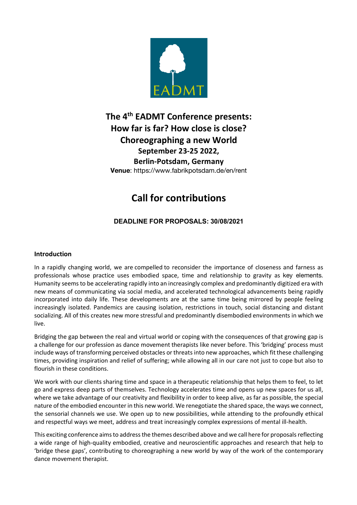

## **The 4th EADMT Conference presents: How far is far? How close is close? Choreographing a new World September 23-25 2022, Berlin-Potsdam, Germany Venue**: https://www.fabrikpotsdam.de/en/rent

# **Call for contributions**

## **DEADLINE FOR PROPOSALS: 30/08/2021**

#### **Introduction**

In a rapidly changing world, we are compelled to reconsider the importance of closeness and farness as professionals whose practice uses embodied space, time and relationship to gravity as key elements. Humanity seems to be accelerating rapidly into an increasingly complex and predominantly digitized era with new means of communicating via social media, and accelerated technological advancements being rapidly incorporated into daily life. These developments are at the same time being mirrored by people feeling increasingly isolated. Pandemics are causing isolation, restrictions in touch, social distancing and distant socializing. All of this creates new more stressful and predominantly disembodied environments in which we live.

Bridging the gap between the real and virtual world or coping with the consequences of that growing gap is a challenge for our profession as dance movement therapists like never before. This 'bridging' process must include ways of transforming perceived obstacles or threats into new approaches, which fit these challenging times, providing inspiration and relief of suffering; while allowing all in our care not just to cope but also to flourish in these conditions.

We work with our clients sharing time and space in a therapeutic relationship that helps them to feel, to let go and express deep parts of themselves. Technology accelerates time and opens up new spaces for us all, where we take advantage of our creativity and flexibility in order to keep alive, as far as possible, the special nature of the embodied encounterin this new world. We renegotiate the shared space, the ways we connect, the sensorial channels we use. We open up to new possibilities, while attending to the profoundly ethical and respectful ways we meet, address and treat increasingly complex expressions of mental ill-health.

This exciting conference aims to address the themes described above and we call here for proposals reflecting a wide range of high-quality embodied, creative and neuroscientific approaches and research that help to 'bridge these gaps', contributing to choreographing a new world by way of the work of the contemporary dance movement therapist.